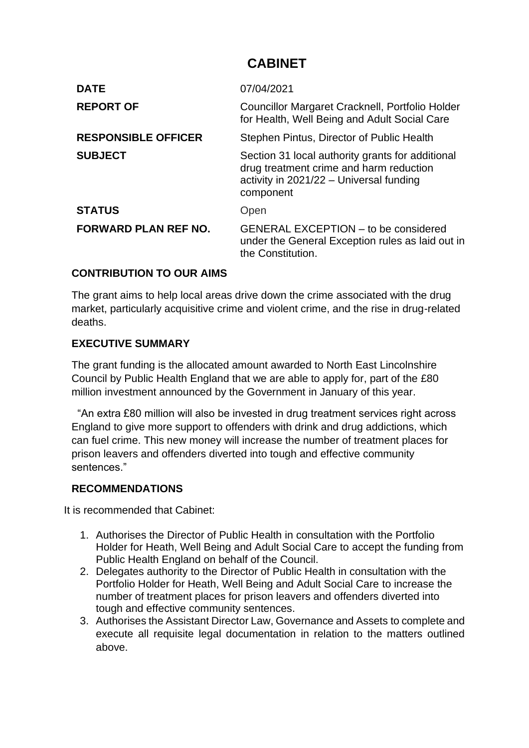# **CABINET**

| <b>DATE</b>                 | 07/04/2021                                                                                                                                            |
|-----------------------------|-------------------------------------------------------------------------------------------------------------------------------------------------------|
| <b>REPORT OF</b>            | Councillor Margaret Cracknell, Portfolio Holder<br>for Health, Well Being and Adult Social Care                                                       |
| <b>RESPONSIBLE OFFICER</b>  | Stephen Pintus, Director of Public Health                                                                                                             |
| <b>SUBJECT</b>              | Section 31 local authority grants for additional<br>drug treatment crime and harm reduction<br>activity in $2021/22$ – Universal funding<br>component |
| <b>STATUS</b>               | Open                                                                                                                                                  |
| <b>FORWARD PLAN REF NO.</b> | <b>GENERAL EXCEPTION - to be considered</b><br>under the General Exception rules as laid out in<br>the Constitution.                                  |

## **CONTRIBUTION TO OUR AIMS**

The grant aims to help local areas drive down the crime associated with the drug market, particularly acquisitive crime and violent crime, and the rise in drug-related deaths.

#### **EXECUTIVE SUMMARY**

The grant funding is the allocated amount awarded to North East Lincolnshire Council by Public Health England that we are able to apply for, part of the £80 million investment announced by the Government in January of this year.

 "An extra £80 million will also be invested in drug treatment services right across England to give more support to offenders with drink and drug addictions, which can fuel crime. This new money will increase the number of treatment places for prison leavers and offenders diverted into tough and effective community sentences."

#### **RECOMMENDATIONS**

It is recommended that Cabinet:

- 1. Authorises the Director of Public Health in consultation with the Portfolio Holder for Heath, Well Being and Adult Social Care to accept the funding from Public Health England on behalf of the Council.
- 2. Delegates authority to the Director of Public Health in consultation with the Portfolio Holder for Heath, Well Being and Adult Social Care to increase the number of treatment places for prison leavers and offenders diverted into tough and effective community sentences.
- 3. Authorises the Assistant Director Law, Governance and Assets to complete and execute all requisite legal documentation in relation to the matters outlined above.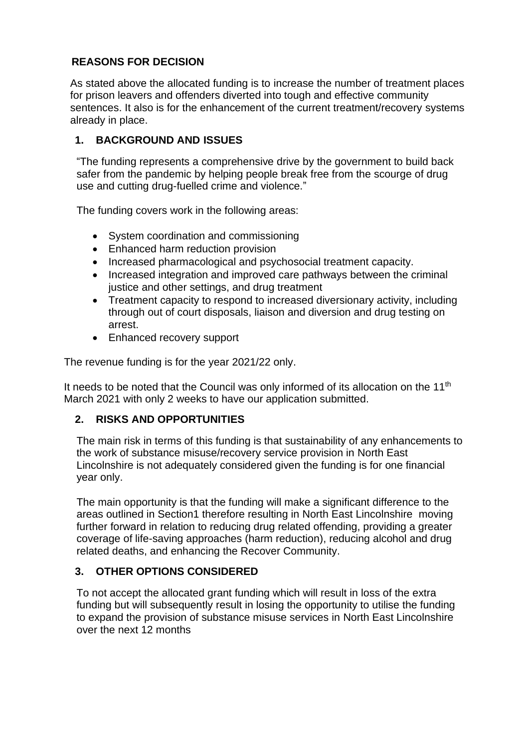# **REASONS FOR DECISION**

As stated above the allocated funding is to increase the number of treatment places for prison leavers and offenders diverted into tough and effective community sentences. It also is for the enhancement of the current treatment/recovery systems already in place.

# **1. BACKGROUND AND ISSUES**

"The funding represents a comprehensive drive by the government to build back safer from the pandemic by helping people break free from the scourge of drug use and cutting drug-fuelled crime and violence."

The funding covers work in the following areas:

- System coordination and commissioning
- Enhanced harm reduction provision
- Increased pharmacological and psychosocial treatment capacity.
- Increased integration and improved care pathways between the criminal justice and other settings, and drug treatment
- Treatment capacity to respond to increased diversionary activity, including through out of court disposals, liaison and diversion and drug testing on arrest.
- Enhanced recovery support

The revenue funding is for the year 2021/22 only.

It needs to be noted that the Council was only informed of its allocation on the 11<sup>th</sup> March 2021 with only 2 weeks to have our application submitted.

## **2. RISKS AND OPPORTUNITIES**

The main risk in terms of this funding is that sustainability of any enhancements to the work of substance misuse/recovery service provision in North East Lincolnshire is not adequately considered given the funding is for one financial year only.

The main opportunity is that the funding will make a significant difference to the areas outlined in Section1 therefore resulting in North East Lincolnshire moving further forward in relation to reducing drug related offending, providing a greater coverage of life-saving approaches (harm reduction), reducing alcohol and drug related deaths, and enhancing the Recover Community.

## **3. OTHER OPTIONS CONSIDERED**

To not accept the allocated grant funding which will result in loss of the extra funding but will subsequently result in losing the opportunity to utilise the funding to expand the provision of substance misuse services in North East Lincolnshire over the next 12 months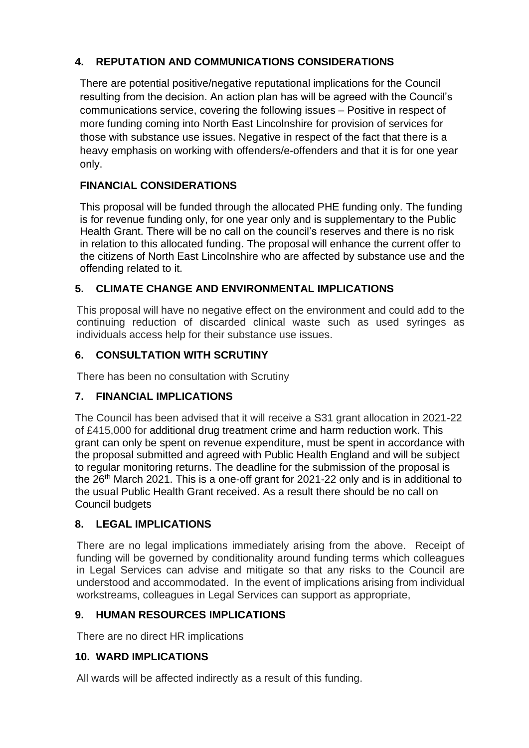# **4. REPUTATION AND COMMUNICATIONS CONSIDERATIONS**

There are potential positive/negative reputational implications for the Council resulting from the decision. An action plan has will be agreed with the Council's communications service, covering the following issues – Positive in respect of more funding coming into North East Lincolnshire for provision of services for those with substance use issues. Negative in respect of the fact that there is a heavy emphasis on working with offenders/e-offenders and that it is for one year only.

# **FINANCIAL CONSIDERATIONS**

This proposal will be funded through the allocated PHE funding only. The funding is for revenue funding only, for one year only and is supplementary to the Public Health Grant. There will be no call on the council's reserves and there is no risk in relation to this allocated funding. The proposal will enhance the current offer to the citizens of North East Lincolnshire who are affected by substance use and the offending related to it.

# **5. CLIMATE CHANGE AND ENVIRONMENTAL IMPLICATIONS**

This proposal will have no negative effect on the environment and could add to the continuing reduction of discarded clinical waste such as used syringes as individuals access help for their substance use issues.

# **6. CONSULTATION WITH SCRUTINY**

There has been no consultation with Scrutiny

## **7. FINANCIAL IMPLICATIONS**

The Council has been advised that it will receive a S31 grant allocation in 2021-22 of £415,000 for additional drug treatment crime and harm reduction work. This grant can only be spent on revenue expenditure, must be spent in accordance with the proposal submitted and agreed with Public Health England and will be subject to regular monitoring returns. The deadline for the submission of the proposal is the 26<sup>th</sup> March 2021. This is a one-off grant for 2021-22 only and is in additional to the usual Public Health Grant received. As a result there should be no call on Council budgets

## **8. LEGAL IMPLICATIONS**

There are no legal implications immediately arising from the above. Receipt of funding will be governed by conditionality around funding terms which colleagues in Legal Services can advise and mitigate so that any risks to the Council are understood and accommodated. In the event of implications arising from individual workstreams, colleagues in Legal Services can support as appropriate,

## **9. HUMAN RESOURCES IMPLICATIONS**

There are no direct HR implications

## **10. WARD IMPLICATIONS**

All wards will be affected indirectly as a result of this funding.